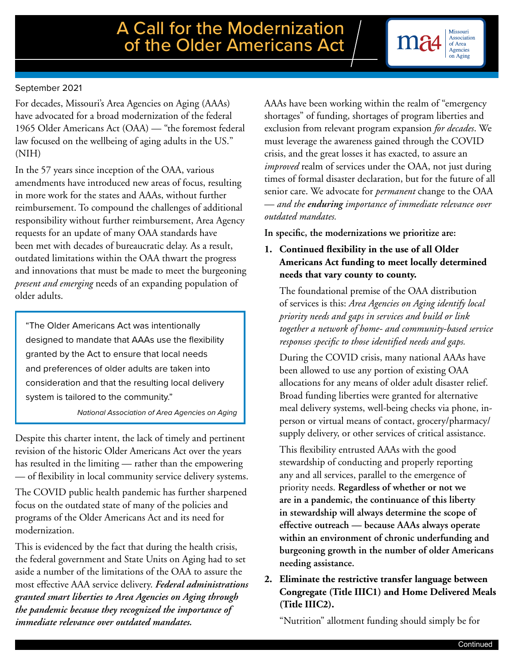#### September 2021

For decades, Missouri's Area Agencies on Aging (AAAs) have advocated for a broad modernization of the federal 1965 Older Americans Act (OAA) — "the foremost federal law focused on the wellbeing of aging adults in the US." (NIH)

In the 57 years since inception of the OAA, various amendments have introduced new areas of focus, resulting in more work for the states and AAAs, without further reimbursement. To compound the challenges of additional responsibility without further reimbursement, Area Agency requests for an update of many OAA standards have been met with decades of bureaucratic delay. As a result, outdated limitations within the OAA thwart the progress and innovations that must be made to meet the burgeoning *present and emerging* needs of an expanding population of older adults.

"The Older Americans Act was intentionally designed to mandate that AAAs use the flexibility granted by the Act to ensure that local needs and preferences of older adults are taken into consideration and that the resulting local delivery system is tailored to the community."

*National Association of Area Agencies on Aging*

Despite this charter intent, the lack of timely and pertinent revision of the historic Older Americans Act over the years has resulted in the limiting — rather than the empowering — of flexibility in local community service delivery systems.

The COVID public health pandemic has further sharpened focus on the outdated state of many of the policies and programs of the Older Americans Act and its need for modernization.

This is evidenced by the fact that during the health crisis, the federal government and State Units on Aging had to set aside a number of the limitations of the OAA to assure the most effective AAA service delivery. *Federal administrations granted smart liberties to Area Agencies on Aging through the pandemic because they recognized the importance of immediate relevance over outdated mandates.* 

AAAs have been working within the realm of "emergency shortages" of funding, shortages of program liberties and exclusion from relevant program expansion *for decades*. We must leverage the awareness gained through the COVID crisis, and the great losses it has exacted, to assure an *improved* realm of services under the OAA, not just during times of formal disaster declaration, but for the future of all senior care. We advocate for *permanent* change to the OAA — *and the enduring importance of immediate relevance over outdated mandates.* 

**In specific, the modernizations we prioritize are:**

# **1. Continued flexibility in the use of all Older Americans Act funding to meet locally determined needs that vary county to county.**

The foundational premise of the OAA distribution of services is this: *Area Agencies on Aging identify local priority needs and gaps in services and build or link together a network of home- and community-based service responses specific to those identified needs and gaps.* 

During the COVID crisis, many national AAAs have been allowed to use any portion of existing OAA allocations for any means of older adult disaster relief. Broad funding liberties were granted for alternative meal delivery systems, well-being checks via phone, inperson or virtual means of contact, grocery/pharmacy/ supply delivery, or other services of critical assistance.

This flexibility entrusted AAAs with the good stewardship of conducting and properly reporting any and all services, parallel to the emergence of priority needs. **Regardless of whether or not we are in a pandemic, the continuance of this liberty in stewardship will always determine the scope of effective outreach — because AAAs always operate within an environment of chronic underfunding and burgeoning growth in the number of older Americans needing assistance.**

**2. Eliminate the restrictive transfer language between Congregate (Title IIIC1) and Home Delivered Meals (Title IIIC2).**

"Nutrition" allotment funding should simply be for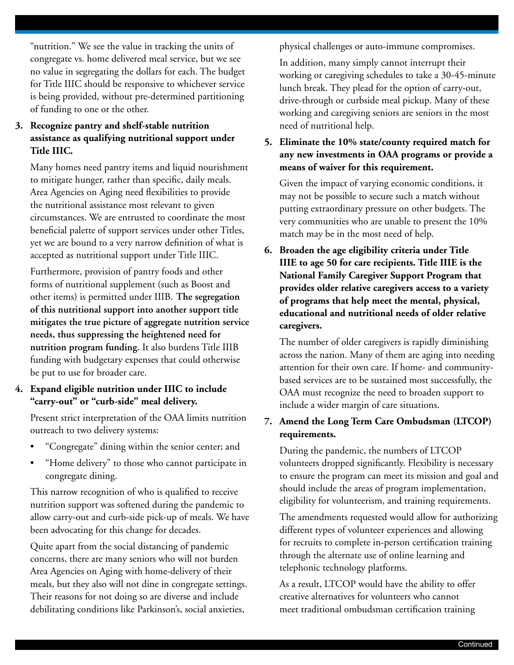"nutrition." We see the value in tracking the units of congregate vs. home delivered meal service, but we see no value in segregating the dollars for each. The budget for Title IIIC should be responsive to whichever service is being provided, without pre-determined partitioning of funding to one or the other.

# **3. Recognize pantry and shelf-stable nutrition assistance as qualifying nutritional support under Title IIIC.**

Many homes need pantry items and liquid nourishment to mitigate hunger, rather than specific, daily meals. Area Agencies on Aging need flexibilities to provide the nutritional assistance most relevant to given circumstances. We are entrusted to coordinate the most beneficial palette of support services under other Titles, yet we are bound to a very narrow definition of what is accepted as nutritional support under Title IIIC.

Furthermore, provision of pantry foods and other forms of nutritional supplement (such as Boost and other items) is permitted under IIIB. **The segregation of this nutritional support into another support title mitigates the true picture of aggregate nutrition service needs, thus suppressing the heightened need for nutrition program funding.** It also burdens Title IIIB funding with budgetary expenses that could otherwise be put to use for broader care.

#### **4. Expand eligible nutrition under IIIC to include "carry-out" or "curb-side" meal delivery.**

Present strict interpretation of the OAA limits nutrition outreach to two delivery systems:

- "Congregate" dining within the senior center; and
- "Home delivery" to those who cannot participate in congregate dining.

This narrow recognition of who is qualified to receive nutrition support was softened during the pandemic to allow carry-out and curb-side pick-up of meals. We have been advocating for this change for decades.

Quite apart from the social distancing of pandemic concerns, there are many seniors who will not burden Area Agencies on Aging with home-delivery of their meals, but they also will not dine in congregate settings. Their reasons for not doing so are diverse and include debilitating conditions like Parkinson's, social anxieties,

physical challenges or auto-immune compromises.

In addition, many simply cannot interrupt their working or caregiving schedules to take a 30-45-minute lunch break. They plead for the option of carry-out, drive-through or curbside meal pickup. Many of these working and caregiving seniors are seniors in the most need of nutritional help.

**5. Eliminate the 10% state/county required match for any new investments in OAA programs or provide a means of waiver for this requirement.** 

Given the impact of varying economic conditions, it may not be possible to secure such a match without putting extraordinary pressure on other budgets. The very communities who are unable to present the 10% match may be in the most need of help.

**6. Broaden the age eligibility criteria under Title IIIE to age 50 for care recipients. Title IIIE is the National Family Caregiver Support Program that provides older relative caregivers access to a variety of programs that help meet the mental, physical, educational and nutritional needs of older relative caregivers.** 

The number of older caregivers is rapidly diminishing across the nation. Many of them are aging into needing attention for their own care. If home- and communitybased services are to be sustained most successfully, the OAA must recognize the need to broaden support to include a wider margin of care situations.

# **7. Amend the Long Term Care Ombudsman (LTCOP) requirements.**

During the pandemic, the numbers of LTCOP volunteers dropped significantly. Flexibility is necessary to ensure the program can meet its mission and goal and should include the areas of program implementation, eligibility for volunteerism, and training requirements.

The amendments requested would allow for authorizing different types of volunteer experiences and allowing for recruits to complete in-person certification training through the alternate use of online learning and telephonic technology platforms.

As a result, LTCOP would have the ability to offer creative alternatives for volunteers who cannot meet traditional ombudsman certification training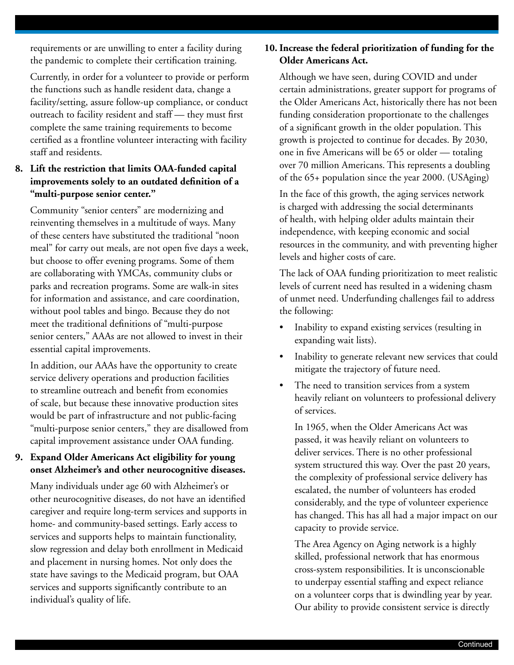requirements or are unwilling to enter a facility during the pandemic to complete their certification training.

Currently, in order for a volunteer to provide or perform the functions such as handle resident data, change a facility/setting, assure follow-up compliance, or conduct outreach to facility resident and staff — they must first complete the same training requirements to become certified as a frontline volunteer interacting with facility staff and residents.

# **8. Lift the restriction that limits OAA-funded capital improvements solely to an outdated definition of a "multi-purpose senior center."**

Community "senior centers" are modernizing and reinventing themselves in a multitude of ways. Many of these centers have substituted the traditional "noon meal" for carry out meals, are not open five days a week, but choose to offer evening programs. Some of them are collaborating with YMCAs, community clubs or parks and recreation programs. Some are walk-in sites for information and assistance, and care coordination, without pool tables and bingo. Because they do not meet the traditional definitions of "multi-purpose senior centers," AAAs are not allowed to invest in their essential capital improvements.

In addition, our AAAs have the opportunity to create service delivery operations and production facilities to streamline outreach and benefit from economies of scale, but because these innovative production sites would be part of infrastructure and not public-facing "multi-purpose senior centers," they are disallowed from capital improvement assistance under OAA funding.

# **9. Expand Older Americans Act eligibility for young onset Alzheimer's and other neurocognitive diseases.**

Many individuals under age 60 with Alzheimer's or other neurocognitive diseases, do not have an identified caregiver and require long-term services and supports in home- and community-based settings. Early access to services and supports helps to maintain functionality, slow regression and delay both enrollment in Medicaid and placement in nursing homes. Not only does the state have savings to the Medicaid program, but OAA services and supports significantly contribute to an individual's quality of life.

# **10. Increase the federal prioritization of funding for the Older Americans Act.**

Although we have seen, during COVID and under certain administrations, greater support for programs of the Older Americans Act, historically there has not been funding consideration proportionate to the challenges of a significant growth in the older population. This growth is projected to continue for decades. By 2030, one in five Americans will be 65 or older — totaling over 70 million Americans. This represents a doubling of the 65+ population since the year 2000. (USAging)

In the face of this growth, the aging services network is charged with addressing the social determinants of health, with helping older adults maintain their independence, with keeping economic and social resources in the community, and with preventing higher levels and higher costs of care.

The lack of OAA funding prioritization to meet realistic levels of current need has resulted in a widening chasm of unmet need. Underfunding challenges fail to address the following:

- Inability to expand existing services (resulting in expanding wait lists).
- Inability to generate relevant new services that could mitigate the trajectory of future need.
- The need to transition services from a system heavily reliant on volunteers to professional delivery of services.

In 1965, when the Older Americans Act was passed, it was heavily reliant on volunteers to deliver services. There is no other professional system structured this way. Over the past 20 years, the complexity of professional service delivery has escalated, the number of volunteers has eroded considerably, and the type of volunteer experience has changed. This has all had a major impact on our capacity to provide service.

The Area Agency on Aging network is a highly skilled, professional network that has enormous cross-system responsibilities. It is unconscionable to underpay essential staffing and expect reliance on a volunteer corps that is dwindling year by year. Our ability to provide consistent service is directly